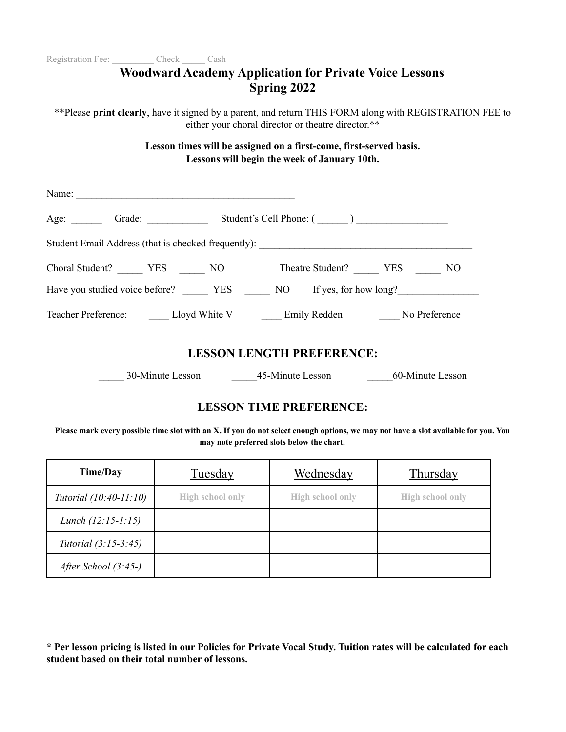| Registration Fee: Check Cash                                                                             |  |                    |                                                                                                                    |  |
|----------------------------------------------------------------------------------------------------------|--|--------------------|--------------------------------------------------------------------------------------------------------------------|--|
|                                                                                                          |  | <b>Spring 2022</b> | <b>Woodward Academy Application for Private Voice Lessons</b>                                                      |  |
| ** Please print clearly, have it signed by a parent, and return THIS FORM along with REGISTRATION FEE to |  |                    | either your choral director or theatre director.**                                                                 |  |
|                                                                                                          |  |                    | Lesson times will be assigned on a first-come, first-served basis.<br>Lessons will begin the week of January 10th. |  |
|                                                                                                          |  |                    |                                                                                                                    |  |
| Age: Grade: Grade: Student's Cell Phone: (1000)                                                          |  |                    |                                                                                                                    |  |
| Student Email Address (that is checked frequently): _____________________________                        |  |                    |                                                                                                                    |  |
| Choral Student? _________ YES _______ NO Theatre Student? _______ YES _______ NO                         |  |                    |                                                                                                                    |  |
|                                                                                                          |  |                    |                                                                                                                    |  |
| Teacher Preference: Lloyd White V ______ Emily Redden ______ No Preference                               |  |                    |                                                                                                                    |  |
|                                                                                                          |  |                    | <b>LESSON LENGTH PREFERENCE:</b>                                                                                   |  |
|                                                                                                          |  |                    | 30-Minute Lesson 45-Minute Lesson 60-Minute Lesson                                                                 |  |
|                                                                                                          |  |                    | <b>LESSON TIME PREFERENCE:</b>                                                                                     |  |

**Please mark every possible time slot with an X. If you do not select enough options, we may not have a slot available for you. You may note preferred slots below the chart.**

| Time/Day                    | <b>Tuesday</b>          | <u>Wednesday</u>        | <b>Thursday</b>         |
|-----------------------------|-------------------------|-------------------------|-------------------------|
| Tutorial $(10:40-11:10)$    | <b>High school only</b> | <b>High school only</b> | <b>High school only</b> |
| Lunch $(12:15-1:15)$        |                         |                         |                         |
| <i>Tutorial</i> (3:15-3:45) |                         |                         |                         |
| After School $(3:45-)$      |                         |                         |                         |

\* Per lesson pricing is listed in our Policies for Private Vocal Study. Tuition rates will be calculated for each **student based on their total number of lessons.**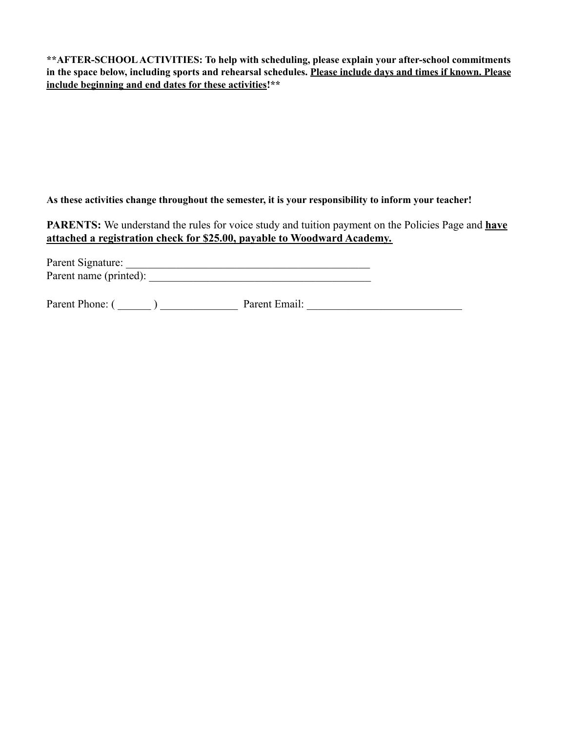**\*\*AFTER-SCHOOLACTIVITIES: To help with scheduling, please explain your after-school commitments** in the space below, including sports and rehearsal schedules. Please include days and times if known. Please **include beginning and end dates for these activities!\*\***

**As these activities change throughout the semester, it is your responsibility to inform your teacher!**

**PARENTS:** We understand the rules for voice study and tuition payment on the Policies Page and **have attached a registration check for \$25.00, payable to Woodward Academy.**

| Parent Signature:      |  |
|------------------------|--|
| Parent name (printed): |  |

Parent Phone: ( \_\_\_\_\_\_ ) \_\_\_\_\_\_\_\_\_\_\_\_\_\_ Parent Email: \_\_\_\_\_\_\_\_\_\_\_\_\_\_\_\_\_\_\_\_\_\_\_\_\_\_\_\_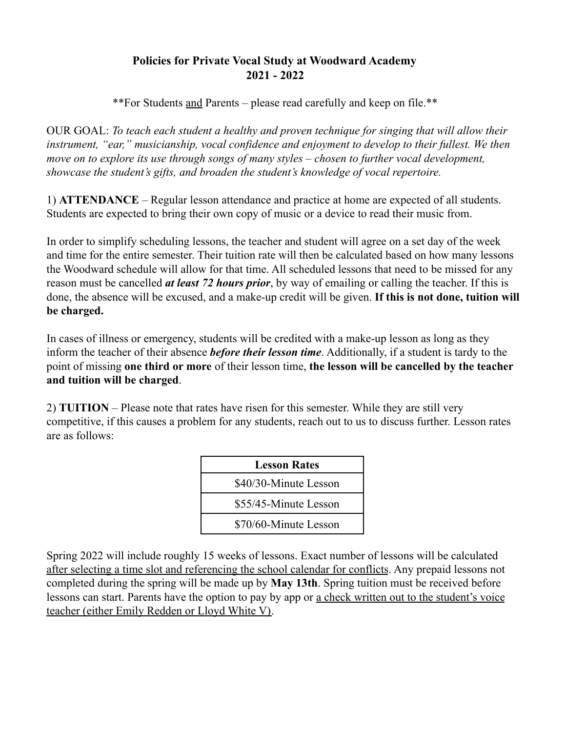## **Policies for Private Vocal Study at Woodward Academy 2021 - 2022**

\*\*For Students and Parents – please read carefully and keep on file.\*\*

OUR GOAL: *To teach each student a healthy and proven technique for singing that will allow their instrument, "ear," musicianship, vocal confidence and enjoyment to develop to their fullest. We then move on to explore its use through songs of many styles – chosen to further vocal development, showcase the student's gifts, and broaden the student's knowledge of vocal repertoire.*

1) **ATTENDANCE** – Regular lesson attendance and practice at home are expected of all students. Students are expected to bring their own copy of music or a device to read their music from.

In order to simplify scheduling lessons, the teacher and student will agree on a set day of the week and time for the entire semester. Their tuition rate will then be calculated based on how many lessons the Woodward schedule will allow for that time. All scheduled lessons that need to be missed for any reason must be cancelled *at least 72 hours prior*, by way of emailing or calling the teacher. If this is done, the absence will be excused, and a make-up credit will be given. **If this is not done, tuition will be charged.**

In cases of illness or emergency, students will be credited with a make-up lesson as long as they inform the teacher of their absence *before their lesson time*. Additionally, if a student is tardy to the point of missing **one third or more** of their lesson time, **the lesson will be cancelled by the teacher and tuition will be charged**.

2) **TUITION** – Please note that rates have risen for this semester. While they are still very competitive, if this causes a problem for any students, reach out to us to discuss further. Lesson rates are as follows:

| <b>Lesson Rates</b>   |
|-----------------------|
| \$40/30-Minute Lesson |
| \$55/45-Minute Lesson |
| \$70/60-Minute Lesson |

Spring 2022 will include roughly 15 weeks of lessons. Exact number of lessons will be calculated after selecting a time slot and referencing the school calendar for conflicts. Any prepaid lessons not completed during the spring will be made up by **May 13th**. Spring tuition must be received before lessons can start. Parents have the option to pay by app or a check written out to the student's voice teacher (either Emily Redden or Lloyd White V).